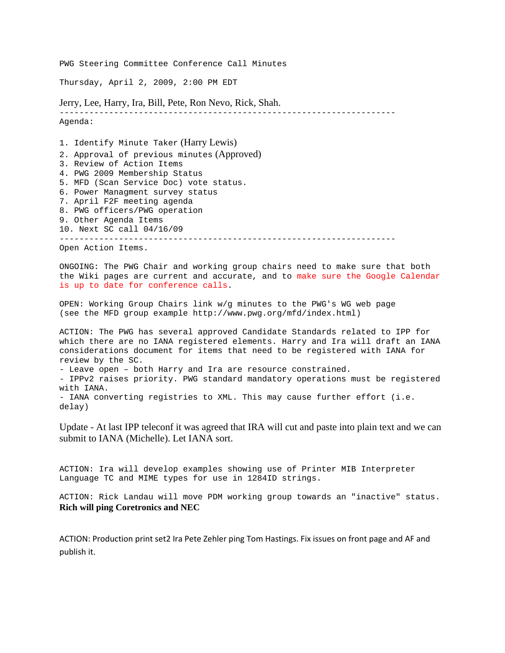PWG Steering Committee Conference Call Minutes

Thursday, April 2, 2009, 2:00 PM EDT

Jerry, Lee, Harry, Ira, Bill, Pete, Ron Nevo, Rick, Shah.

-------------------------------------------------------------------- Agenda:

1. Identify Minute Taker (Harry Lewis) 2. Approval of previous minutes (Approved) 3. Review of Action Items 4. PWG 2009 Membership Status 5. MFD (Scan Service Doc) vote status. 6. Power Managment survey status 7. April F2F meeting agenda 8. PWG officers/PWG operation 9. Other Agenda Items 10. Next SC call 04/16/09 --------------------------------------------------------------------

Open Action Items.

ONGOING: The PWG Chair and working group chairs need to make sure that both the Wiki pages are current and accurate, and to make sure the Google Calendar is up to date for conference calls.

OPEN: Working Group Chairs link w/g minutes to the PWG's WG web page (see the MFD group example http://www.pwg.org/mfd/index.html)

ACTION: The PWG has several approved Candidate Standards related to IPP for which there are no IANA registered elements. Harry and Ira will draft an IANA considerations document for items that need to be registered with IANA for review by the SC.

- Leave open – both Harry and Ira are resource constrained.

- IPPv2 raises priority. PWG standard mandatory operations must be registered with IANA.

- IANA converting registries to XML. This may cause further effort (i.e. delay)

Update - At last IPP teleconf it was agreed that IRA will cut and paste into plain text and we can submit to IANA (Michelle). Let IANA sort.

ACTION: Ira will develop examples showing use of Printer MIB Interpreter Language TC and MIME types for use in 1284ID strings.

ACTION: Rick Landau will move PDM working group towards an "inactive" status. **Rich will ping Coretronics and NEC** 

ACTION: Production print set2 Ira Pete Zehler ping Tom Hastings. Fix issues on front page and AF and publish it.